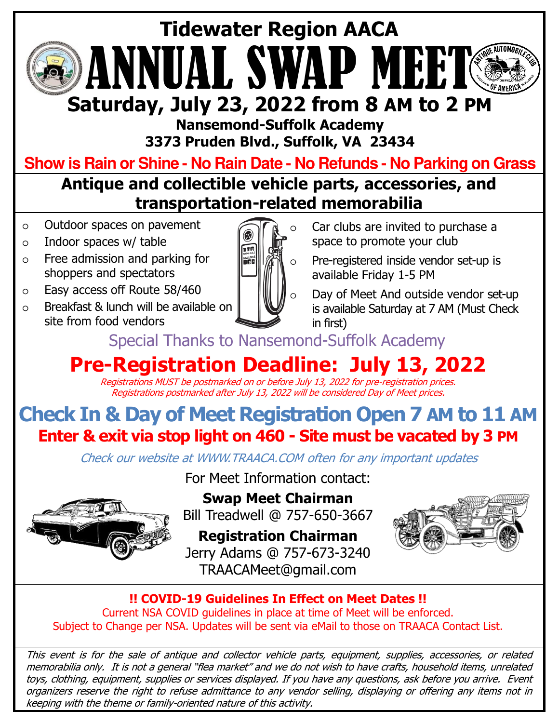# ANNUAL SWAP I **Tidewater Region AACA Saturday, July 23, 2022 from 8 AM to 2 PM**

**Nansemond-Suffolk Academy 3373 Pruden Blvd., Suffolk, VA 23434**

**Show is Rain or Shine - No Rain Date - No Refunds - No Parking on Grass**

**Antique and collectible vehicle parts, accessories, and transportation-related memorabilia**

- o Outdoor spaces on pavement
- $\circ$  Indoor spaces w/ table
- o Free admission and parking for shoppers and spectators
- o Easy access off Route 58/460
- o Breakfast & lunch will be available on site from food vendors



- Car clubs are invited to purchase a space to promote your club
- Pre-registered inside vendor set-up is available Friday 1-5 PM
- Day of Meet And outside vendor set-up is available Saturday at 7 AM (Must Check in first)

Special Thanks to Nansemond-Suffolk Academy

## **Pre-Registration Deadline: July 13, 2022**

Registrations MUST be postmarked on or before July 13, 2022 for pre-registration prices. Registrations postmarked after July 13, 2022 will be considered Day of Meet prices.

### **Check In & Day of Meet Registration Open 7 AM to 11 AM Enter & exit via stop light on 460 - Site must be vacated by 3 PM**

Check our website at WWW.TRAACA.COM often for any important updates



For Meet Information contact: **Swap Meet Chairman**

Bill Treadwell @ 757-650-3667

**Registration Chairman** Jerry Adams @ 757-673-3240 TRAACAMeet@gmail.com



**!! COVID-19 Guidelines In Effect on Meet Dates !!**  Current NSA COVID guidelines in place at time of Meet will be enforced. Subject to Change per NSA. Updates will be sent via eMail to those on TRAACA Contact List.

This event is for the sale of antique and collector vehicle parts, equipment, supplies, accessories, or related memorabilia only. It is not <sup>a</sup> general "flea market" and we do not wish to have crafts, household items, unrelated toys, clothing, equipment, supplies or services displayed. If you have any questions, ask before you arrive. Event organizers reserve the right to refuse admittance to any vendor selling, displaying or offering any items not in keeping with the theme or family-oriented nature of this activity.